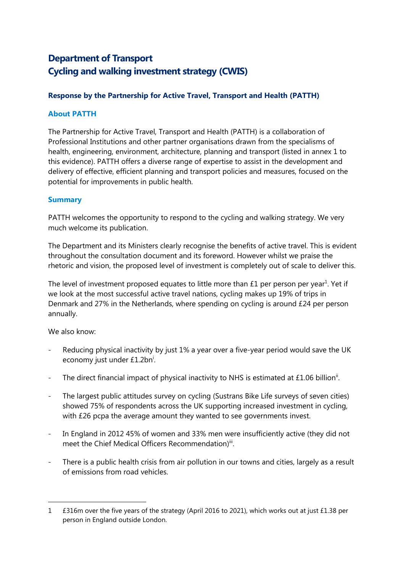# **Department of Transport Cycling and walking investment strategy (CWIS)**

### **Response by the Partnership for Active Travel, Transport and Health (PATTH)**

#### **About PATTH**

The Partnership for Active Travel, Transport and Health (PATTH) is a collaboration of Professional Institutions and other partner organisations drawn from the specialisms of health, engineering, environment, architecture, planning and transport (listed in annex 1 to this evidence). PATTH offers a diverse range of expertise to assist in the development and delivery of effective, efficient planning and transport policies and measures, focused on the potential for improvements in public health.

#### **Summary**

PATTH welcomes the opportunity to respond to the cycling and walking strategy. We very much welcome its publication.

The Department and its Ministers clearly recognise the benefits of active travel. This is evident throughout the consultation document and its foreword. However whilst we praise the rhetoric and vision, the proposed level of investment is completely out of scale to deliver this.

The level of investment proposed equates to little more than  $£1$  per person per year<sup>1</sup>. Yet if we look at the most successful active travel nations, cycling makes up 19% of trips in Denmark and 27% in the Netherlands, where spending on cycling is around £24 per person annually.

We also know:

 $\overline{a}$ 

- Reducing physical inactivity by just 1% a year over a five-year period would save the UK economy just under £1.2bn<sup>i</sup>.
- The direct financial impact of physical inactivity to NHS is estimated at £1.06 billion<sup>ii</sup>.
- The largest public attitudes survey on cycling (Sustrans Bike Life surveys of seven cities) showed 75% of respondents across the UK supporting increased investment in cycling, with £26 pcpa the average amount they wanted to see governments invest.
- In England in 2012 45% of women and 33% men were insufficiently active (they did not meet the Chief Medical Officers Recommendation)ii.
- There is a public health crisis from air pollution in our towns and cities, largely as a result of emissions from road vehicles.

<sup>1 £316</sup>m over the five years of the strategy (April 2016 to 2021), which works out at just £1.38 per person in England outside London.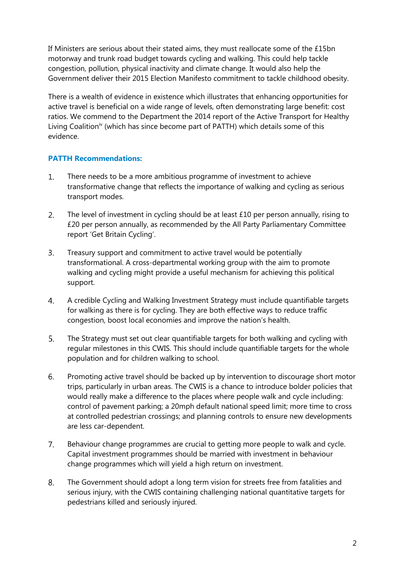If Ministers are serious about their stated aims, they must reallocate some of the £15bn motorway and trunk road budget towards cycling and walking. This could help tackle congestion, pollution, physical inactivity and climate change. It would also help the Government deliver their 2015 Election Manifesto commitment to tackle childhood obesity.

There is a wealth of evidence in existence which illustrates that enhancing opportunities for active travel is beneficial on a wide range of levels, often demonstrating large benefit: cost ratios. We commend to the Department the 2014 report of the Active Transport for Healthy Living Coalition<sup>iv</sup> (which has since become part of PATTH) which details some of this evidence.

#### **PATTH Recommendations:**

- $1.$ There needs to be a more ambitious programme of investment to achieve transformative change that reflects the importance of walking and cycling as serious transport modes.
- The level of investment in cycling should be at least £10 per person annually, rising to  $2.$ £20 per person annually, as recommended by the All Party Parliamentary Committee report 'Get Britain Cycling'.
- $3.$ Treasury support and commitment to active travel would be potentially transformational. A cross-departmental working group with the aim to promote walking and cycling might provide a useful mechanism for achieving this political support.
- $4.$ A credible Cycling and Walking Investment Strategy must include quantifiable targets for walking as there is for cycling. They are both effective ways to reduce traffic congestion, boost local economies and improve the nation's health.
- 5. The Strategy must set out clear quantifiable targets for both walking and cycling with regular milestones in this CWIS. This should include quantifiable targets for the whole population and for children walking to school.
- 6. Promoting active travel should be backed up by intervention to discourage short motor trips, particularly in urban areas. The CWIS is a chance to introduce bolder policies that would really make a difference to the places where people walk and cycle including: control of pavement parking; a 20mph default national speed limit; more time to cross at controlled pedestrian crossings; and planning controls to ensure new developments are less car-dependent.
- $7<sup>1</sup>$ Behaviour change programmes are crucial to getting more people to walk and cycle. Capital investment programmes should be married with investment in behaviour change programmes which will yield a high return on investment.
- 8. The Government should adopt a long term vision for streets free from fatalities and serious injury, with the CWIS containing challenging national quantitative targets for pedestrians killed and seriously injured.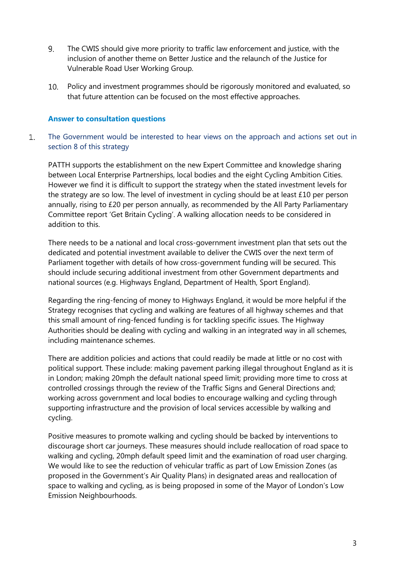- 9. The CWIS should give more priority to traffic law enforcement and justice, with the inclusion of another theme on Better Justice and the relaunch of the Justice for Vulnerable Road User Working Group.
- Policy and investment programmes should be rigorously monitored and evaluated, so that future attention can be focused on the most effective approaches.

#### **Answer to consultation questions**

 $1.$ The Government would be interested to hear views on the approach and actions set out in section 8 of this strategy

PATTH supports the establishment on the new Expert Committee and knowledge sharing between Local Enterprise Partnerships, local bodies and the eight Cycling Ambition Cities. However we find it is difficult to support the strategy when the stated investment levels for the strategy are so low. The level of investment in cycling should be at least £10 per person annually, rising to £20 per person annually, as recommended by the All Party Parliamentary Committee report 'Get Britain Cycling'. A walking allocation needs to be considered in addition to this.

There needs to be a national and local cross-government investment plan that sets out the dedicated and potential investment available to deliver the CWIS over the next term of Parliament together with details of how cross-government funding will be secured. This should include securing additional investment from other Government departments and national sources (e.g. Highways England, Department of Health, Sport England).

Regarding the ring-fencing of money to Highways England, it would be more helpful if the Strategy recognises that cycling and walking are features of all highway schemes and that this small amount of ring-fenced funding is for tackling specific issues. The Highway Authorities should be dealing with cycling and walking in an integrated way in all schemes, including maintenance schemes.

There are addition policies and actions that could readily be made at little or no cost with political support. These include: making pavement parking illegal throughout England as it is in London; making 20mph the default national speed limit; providing more time to cross at controlled crossings through the review of the Traffic Signs and General Directions and; working across government and local bodies to encourage walking and cycling through supporting infrastructure and the provision of local services accessible by walking and cycling.

Positive measures to promote walking and cycling should be backed by interventions to discourage short car journeys. These measures should include reallocation of road space to walking and cycling, 20mph default speed limit and the examination of road user charging. We would like to see the reduction of vehicular traffic as part of Low Emission Zones (as proposed in the Government's Air Quality Plans) in designated areas and reallocation of space to walking and cycling, as is being proposed in some of the Mayor of London's Low Emission Neighbourhoods.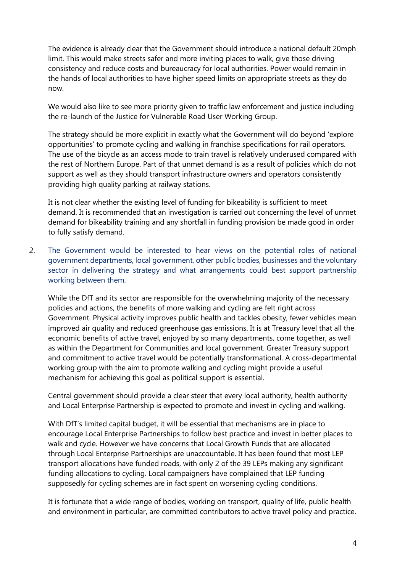The evidence is already clear that the Government should introduce a national default 20mph limit. This would make streets safer and more inviting places to walk, give those driving consistency and reduce costs and bureaucracy for local authorities. Power would remain in the hands of local authorities to have higher speed limits on appropriate streets as they do now.

We would also like to see more priority given to traffic law enforcement and justice including the re-launch of the Justice for Vulnerable Road User Working Group.

The strategy should be more explicit in exactly what the Government will do beyond 'explore opportunities' to promote cycling and walking in franchise specifications for rail operators. The use of the bicycle as an access mode to train travel is relatively underused compared with the rest of Northern Europe. Part of that unmet demand is as a result of policies which do not support as well as they should transport infrastructure owners and operators consistently providing high quality parking at railway stations.

It is not clear whether the existing level of funding for bikeability is sufficient to meet demand. It is recommended that an investigation is carried out concerning the level of unmet demand for bikeability training and any shortfall in funding provision be made good in order to fully satisfy demand.

 $2<sub>1</sub>$ The Government would be interested to hear views on the potential roles of national government departments, local government, other public bodies, businesses and the voluntary sector in delivering the strategy and what arrangements could best support partnership working between them.

While the DfT and its sector are responsible for the overwhelming majority of the necessary policies and actions, the benefits of more walking and cycling are felt right across Government. Physical activity improves public health and tackles obesity, fewer vehicles mean improved air quality and reduced greenhouse gas emissions. It is at Treasury level that all the economic benefits of active travel, enjoyed by so many departments, come together, as well as within the Department for Communities and local government. Greater Treasury support and commitment to active travel would be potentially transformational. A cross-departmental working group with the aim to promote walking and cycling might provide a useful mechanism for achieving this goal as political support is essential.

Central government should provide a clear steer that every local authority, health authority and Local Enterprise Partnership is expected to promote and invest in cycling and walking.

With DfT's limited capital budget, it will be essential that mechanisms are in place to encourage Local Enterprise Partnerships to follow best practice and invest in better places to walk and cycle. However we have concerns that Local Growth Funds that are allocated through Local Enterprise Partnerships are unaccountable. It has been found that most LEP transport allocations have funded roads, with only 2 of the 39 LEPs making any significant funding allocations to cycling. Local campaigners have complained that LEP funding supposedly for cycling schemes are in fact spent on worsening cycling conditions.

It is fortunate that a wide range of bodies, working on transport, quality of life, public health and environment in particular, are committed contributors to active travel policy and practice.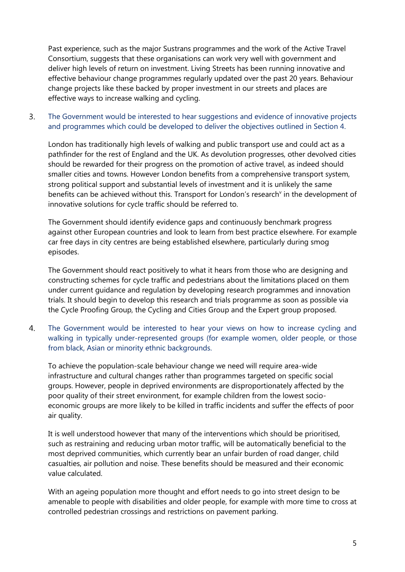Past experience, such as the major Sustrans programmes and the work of the Active Travel Consortium, suggests that these organisations can work very well with government and deliver high levels of return on investment. Living Streets has been running innovative and effective behaviour change programmes regularly updated over the past 20 years. Behaviour change projects like these backed by proper investment in our streets and places are effective ways to increase walking and cycling.

#### $\overline{3}$ . The Government would be interested to hear suggestions and evidence of innovative projects and programmes which could be developed to deliver the objectives outlined in Section 4.

London has traditionally high levels of walking and public transport use and could act as a pathfinder for the rest of England and the UK. As devolution progresses, other devolved cities should be rewarded for their progress on the promotion of active travel, as indeed should smaller cities and towns. However London benefits from a comprehensive transport system, strong political support and substantial levels of investment and it is unlikely the same benefits can be achieved without this. Transport for London's research<sup>y</sup> in the development of innovative solutions for cycle traffic should be referred to.

The Government should identify evidence gaps and continuously benchmark progress against other European countries and look to learn from best practice elsewhere. For example car free days in city centres are being established elsewhere, particularly during smog episodes.

The Government should react positively to what it hears from those who are designing and constructing schemes for cycle traffic and pedestrians about the limitations placed on them under current guidance and regulation by developing research programmes and innovation trials. It should begin to develop this research and trials programme as soon as possible via the Cycle Proofing Group, the Cycling and Cities Group and the Expert group proposed.

The Government would be interested to hear your views on how to increase cycling and 4. walking in typically under-represented groups (for example women, older people, or those from black, Asian or minority ethnic backgrounds.

To achieve the population-scale behaviour change we need will require area-wide infrastructure and cultural changes rather than programmes targeted on specific social groups. However, people in deprived environments are disproportionately affected by the poor quality of their street environment, for example children from the lowest socioeconomic groups are more likely to be killed in traffic incidents and suffer the effects of poor air quality.

It is well understood however that many of the interventions which should be prioritised, such as restraining and reducing urban motor traffic, will be automatically beneficial to the most deprived communities, which currently bear an unfair burden of road danger, child casualties, air pollution and noise. These benefits should be measured and their economic value calculated.

With an ageing population more thought and effort needs to go into street design to be amenable to people with disabilities and older people, for example with more time to cross at controlled pedestrian crossings and restrictions on pavement parking.